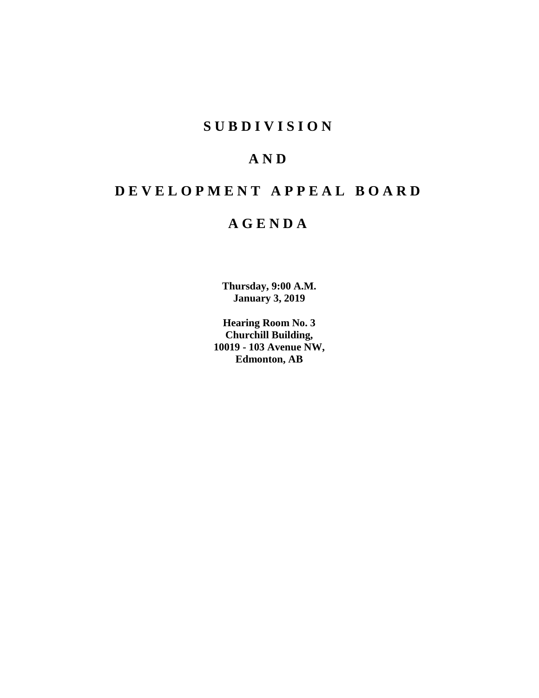## **SUBDIVISION**

## **AND**

## **DEVELOPMENT APPEAL BOARD**

## **AGENDA**

**Thursday, 9:00 A.M. January 3, 2019**

**Hearing Room No. 3 Churchill Building, 10019 - 103 Avenue NW, Edmonton, AB**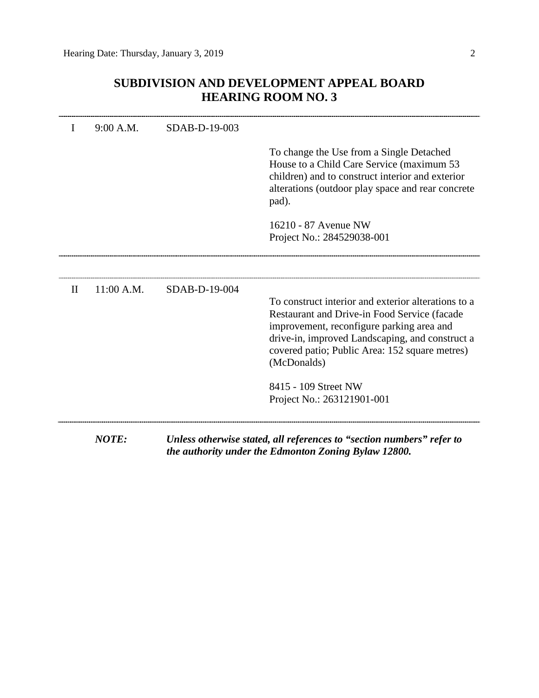## **SUBDIVISION AND DEVELOPMENT APPEAL BOARD HEARING ROOM NO. 3**

|              | 9:00 A.M.    | SDAB-D-19-003 |                                                                                                                                                                                                                                                                      |
|--------------|--------------|---------------|----------------------------------------------------------------------------------------------------------------------------------------------------------------------------------------------------------------------------------------------------------------------|
|              |              |               | To change the Use from a Single Detached<br>House to a Child Care Service (maximum 53<br>children) and to construct interior and exterior<br>alterations (outdoor play space and rear concrete<br>pad).                                                              |
|              |              |               | 16210 - 87 Avenue NW<br>Project No.: 284529038-001                                                                                                                                                                                                                   |
|              |              |               |                                                                                                                                                                                                                                                                      |
| $\mathbf{I}$ | 11:00 A.M.   | SDAB-D-19-004 | To construct interior and exterior alterations to a<br>Restaurant and Drive-in Food Service (facade<br>improvement, reconfigure parking area and<br>drive-in, improved Landscaping, and construct a<br>covered patio; Public Area: 152 square metres)<br>(McDonalds) |
|              |              |               | 8415 - 109 Street NW<br>Project No.: 263121901-001                                                                                                                                                                                                                   |
|              | $NOTF \cdot$ |               | IInless otherwise stated all references to "section numbers" refer to                                                                                                                                                                                                |

*NOTE: Unless otherwise stated, all references to "section numbers" refer to the authority under the Edmonton Zoning Bylaw 12800.*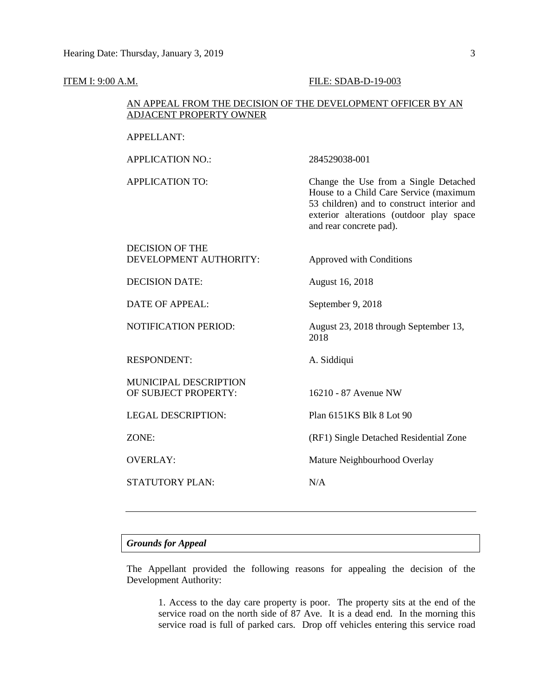### **ITEM I: 9:00 A.M. FILE: SDAB-D-19-003**

and rear concrete pad).

### AN APPEAL FROM THE DECISION OF THE DEVELOPMENT OFFICER BY AN ADJACENT PROPERTY OWNER

### APPELLANT:

APPLICATION NO.: 284529038-001 APPLICATION TO: Change the Use from a Single Detached House to a Child Care Service (maximum 53 children) and to construct interior and exterior alterations (outdoor play space

# DECISION OF THE DEVELOPMENT AUTHORITY: Approved with Conditions DECISION DATE: August 16, 2018 DATE OF APPEAL: September 9, 2018 NOTIFICATION PERIOD: August 23, 2018 through September 13, 2018 RESPONDENT: A. Siddiqui MUNICIPAL DESCRIPTION OF SUBJECT PROPERTY: 16210 - 87 Avenue NW LEGAL DESCRIPTION: Plan 6151KS Blk 8 Lot 90 ZONE: (RF1) Single Detached Residential Zone OVERLAY: Mature Neighbourhood Overlay STATUTORY PLAN: N/A

### *Grounds for Appeal*

The Appellant provided the following reasons for appealing the decision of the Development Authority:

1. Access to the day care property is poor. The property sits at the end of the service road on the north side of 87 Ave. It is a dead end. In the morning this service road is full of parked cars. Drop off vehicles entering this service road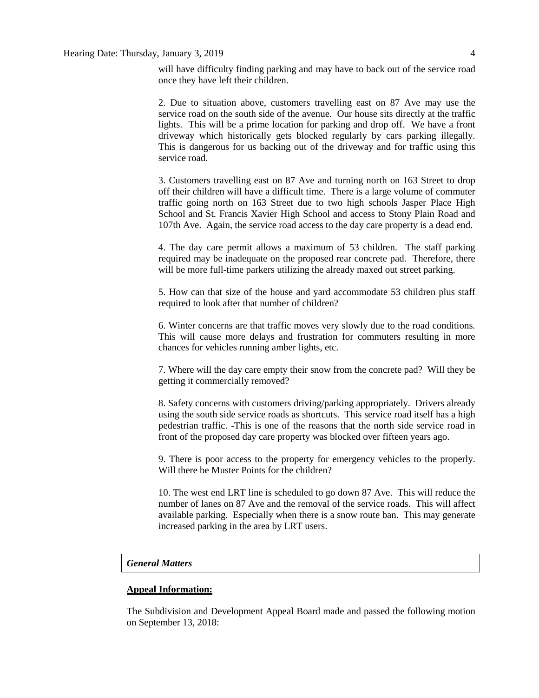will have difficulty finding parking and may have to back out of the service road once they have left their children.

2. Due to situation above, customers travelling east on 87 Ave may use the service road on the south side of the avenue. Our house sits directly at the traffic lights. This will be a prime location for parking and drop off. We have a front driveway which historically gets blocked regularly by cars parking illegally. This is dangerous for us backing out of the driveway and for traffic using this service road.

3. Customers travelling east on 87 Ave and turning north on 163 Street to drop off their children will have a difficult time. There is a large volume of commuter traffic going north on 163 Street due to two high schools Jasper Place High School and St. Francis Xavier High School and access to Stony Plain Road and 107th Ave. Again, the service road access to the day care property is a dead end.

4. The day care permit allows a maximum of 53 children. The staff parking required may be inadequate on the proposed rear concrete pad. Therefore, there will be more full-time parkers utilizing the already maxed out street parking.

5. How can that size of the house and yard accommodate 53 children plus staff required to look after that number of children?

6. Winter concerns are that traffic moves very slowly due to the road conditions. This will cause more delays and frustration for commuters resulting in more chances for vehicles running amber lights, etc.

7. Where will the day care empty their snow from the concrete pad? Will they be getting it commercially removed?

8. Safety concerns with customers driving/parking appropriately. Drivers already using the south side service roads as shortcuts. This service road itself has a high pedestrian traffic. -This is one of the reasons that the north side service road in front of the proposed day care property was blocked over fifteen years ago.

9. There is poor access to the property for emergency vehicles to the properly. Will there be Muster Points for the children?

10. The west end LRT line is scheduled to go down 87 Ave. This will reduce the number of lanes on 87 Ave and the removal of the service roads. This will affect available parking. Especially when there is a snow route ban. This may generate increased parking in the area by LRT users.

### *General Matters*

### **Appeal Information:**

The Subdivision and Development Appeal Board made and passed the following motion on September 13, 2018: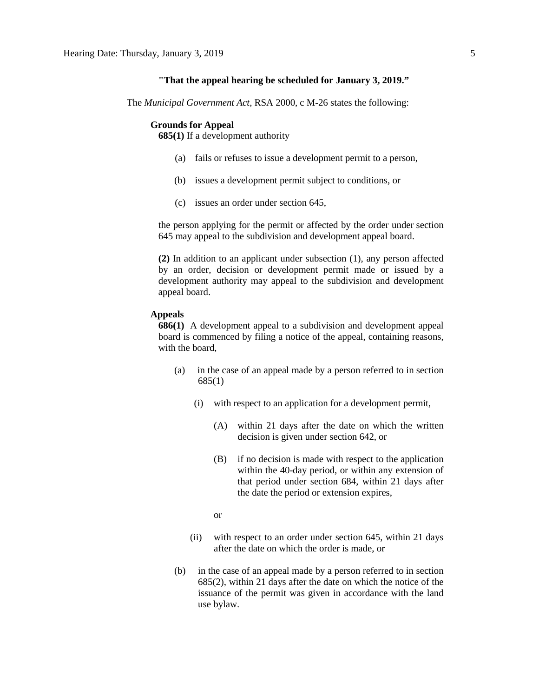### **"That the appeal hearing be scheduled for January 3, 2019."**

The *Municipal Government Act*, RSA 2000, c M-26 states the following:

### **Grounds for Appeal**

**685(1)** If a development authority

- (a) fails or refuses to issue a development permit to a person,
- (b) issues a development permit subject to conditions, or
- (c) issues an order under section 645,

the person applying for the permit or affected by the order under section 645 may appeal to the subdivision and development appeal board.

**(2)** In addition to an applicant under subsection (1), any person affected by an order, decision or development permit made or issued by a development authority may appeal to the subdivision and development appeal board.

### **Appeals**

**686(1)** A development appeal to a subdivision and development appeal board is commenced by filing a notice of the appeal, containing reasons, with the board,

- (a) in the case of an appeal made by a person referred to in section 685(1)
	- (i) with respect to an application for a development permit,
		- (A) within 21 days after the date on which the written decision is given under section 642, or
		- (B) if no decision is made with respect to the application within the 40-day period, or within any extension of that period under section 684, within 21 days after the date the period or extension expires,

or

- (ii) with respect to an order under section 645, within 21 days after the date on which the order is made, or
- (b) in the case of an appeal made by a person referred to in section 685(2), within 21 days after the date on which the notice of the issuance of the permit was given in accordance with the land use bylaw.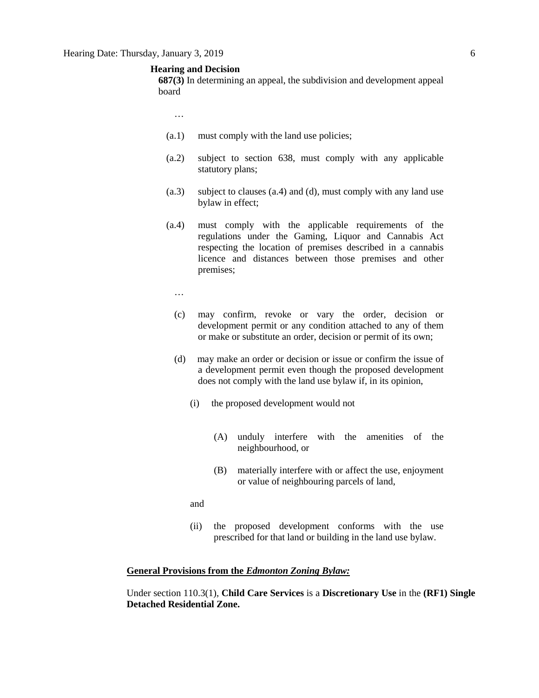### **Hearing and Decision**

**687(3)** In determining an appeal, the subdivision and development appeal board

- …
- (a.1) must comply with the land use policies;
- (a.2) subject to section 638, must comply with any applicable statutory plans;
- (a.3) subject to clauses (a.4) and (d), must comply with any land use bylaw in effect;
- (a.4) must comply with the applicable requirements of the regulations under the Gaming, Liquor and Cannabis Act respecting the location of premises described in a cannabis licence and distances between those premises and other premises;
	- …
	- (c) may confirm, revoke or vary the order, decision or development permit or any condition attached to any of them or make or substitute an order, decision or permit of its own;
	- (d) may make an order or decision or issue or confirm the issue of a development permit even though the proposed development does not comply with the land use bylaw if, in its opinion,
		- (i) the proposed development would not
			- (A) unduly interfere with the amenities of the neighbourhood, or
			- (B) materially interfere with or affect the use, enjoyment or value of neighbouring parcels of land,

and

(ii) the proposed development conforms with the use prescribed for that land or building in the land use bylaw.

### **General Provisions from the** *Edmonton Zoning Bylaw:*

Under section 110.3(1), **Child Care Services** is a **Discretionary Use** in the **(RF1) Single Detached Residential Zone.**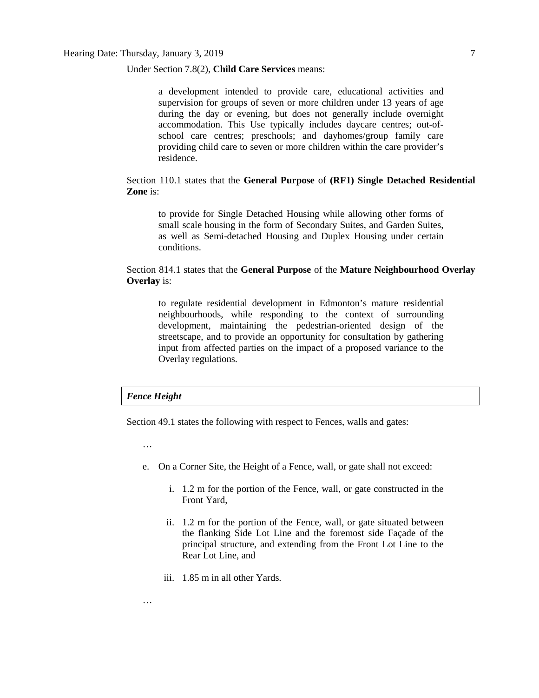### Under Section 7.8(2), **Child Care Services** means:

a development intended to provide care, educational activities and supervision for groups of seven or more children under 13 years of age during the day or evening, but does not generally include overnight accommodation. This Use typically includes daycare centres; out-ofschool care centres; preschools; and dayhomes/group family care providing child care to seven or more children within the care provider's residence.

### Section 110.1 states that the **General Purpose** of **(RF1) Single Detached Residential Zone** is:

to provide for Single Detached Housing while allowing other forms of small scale housing in the form of Secondary Suites, and Garden Suites, as well as Semi-detached Housing and Duplex Housing under certain conditions.

### Section 814.1 states that the **General Purpose** of the **Mature Neighbourhood Overlay Overlay** is:

to regulate residential development in Edmonton's mature residential neighbourhoods, while responding to the context of surrounding development, maintaining the pedestrian-oriented design of the streetscape, and to provide an opportunity for consultation by gathering input from affected parties on the impact of a proposed variance to the Overlay regulations.

### *Fence Height*

Section 49.1 states the following with respect to Fences, walls and gates:

…

…

- e. On a Corner Site, the Height of a Fence, wall, or gate shall not exceed:
	- i. 1.2 m for the portion of the Fence, wall, or gate constructed in the Front Yard,
	- ii. 1.2 m for the portion of the Fence, wall, or gate situated between the flanking Side Lot Line and the foremost side Façade of the principal structure, and extending from the Front Lot Line to the Rear Lot Line, and
	- iii. 1.85 m in all other Yards.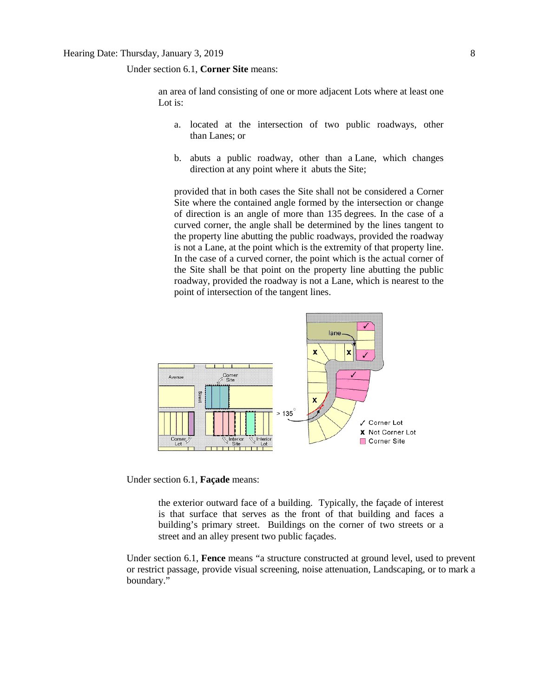Under section 6.1, **Corner Site** means:

an area of land consisting of one or more adjacent Lots where at least one Lot is:

- a. located at the intersection of two public roadways, other than Lanes; or
- b. abuts a public roadway, other than a Lane, which changes direction at any point where it abuts the Site;

provided that in both cases the Site shall not be considered a Corner Site where the contained angle formed by the intersection or change of direction is an angle of more than 135 degrees. In the case of a curved corner, the angle shall be determined by the lines tangent to the property line abutting the public roadways, provided the roadway is not a Lane, at the point which is the extremity of that property line. In the case of a curved corner, the point which is the actual corner of the Site shall be that point on the property line abutting the public roadway, provided the roadway is not a Lane, which is nearest to the point of intersection of the tangent lines.



Under section 6.1, **Façade** means:

the exterior outward face of a building. Typically, the façade of interest is that surface that serves as the front of that building and faces a building's primary street. Buildings on the corner of two streets or a street and an alley present two public façades.

Under section 6.1, **Fence** means "a structure constructed at ground level, used to prevent or restrict passage, provide visual screening, noise attenuation, Landscaping, or to mark a boundary."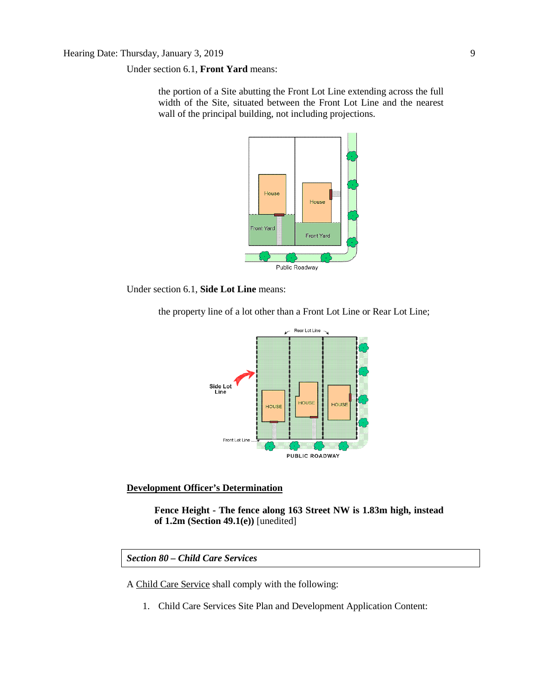Under section 6.1, **Front Yard** means:

the portion of a Site abutting the Front Lot Line extending across the full width of the Site, situated between the Front Lot Line and the nearest wall of the principal building, not including projections.



Under section 6.1, **Side Lot Line** means:

Rear Lot Line Side Lot<br>Line HOUSE **HOUS** HOLISE Front Lot Lin PUBLIC ROADWAY

the property line of a lot other than a Front Lot Line or Rear Lot Line;

### **Development Officer's Determination**

**Fence Height - The fence along 163 Street NW is 1.83m high, instead of 1.2m (Section 49.1(e))** [unedited]

*Section 80 – Child Care Services*

A [Child Care Service](javascript:void(0);) shall comply with the following:

1. Child Care Services Site Plan and Development Application Content: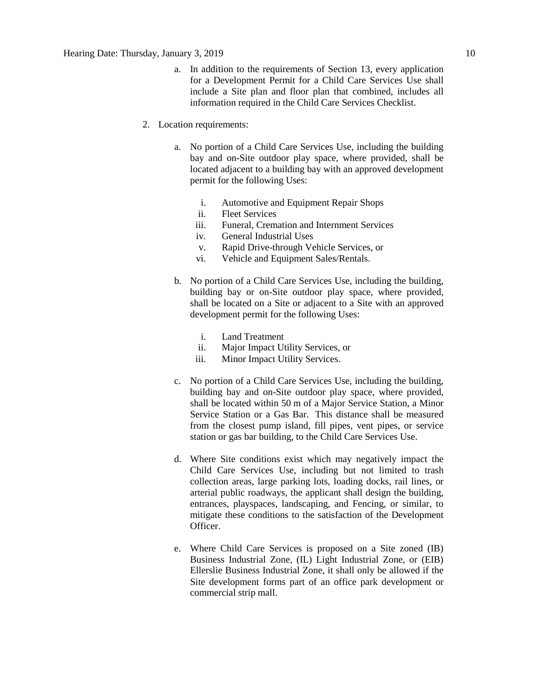- a. In addition to the requirements of Section 13, every application for a Development Permit for a Child Care Services Use shall include a Site plan and floor plan that combined, includes all information required in the Child Care Services Checklist.
- 2. Location requirements:
	- a. No portion of a Child Care Services Use, including the building bay and on-Site outdoor play space, where provided, shall be located adjacent to a building bay with an approved development permit for the following Uses:
		- i. Automotive and Equipment Repair Shops
		- ii. Fleet Services
		- iii. Funeral, Cremation and Internment Services
		- iv. General Industrial Uses
		- v. Rapid Drive-through Vehicle Services, or
		- vi. Vehicle and Equipment Sales/Rentals.
	- b. No portion of a Child Care Services Use, including the building, building bay or on-Site outdoor play space, where provided, shall be located on a Site or adjacent to a Site with an approved development permit for the following Uses:
		- i. Land Treatment
		- ii. Major Impact Utility Services, or
		- iii. Minor Impact Utility Services.
	- c. No portion of a Child Care Services Use, including the building, building bay and on-Site outdoor play space, where provided, shall be located within 50 m of a Major Service Station, a Minor Service Station or a Gas Bar. This distance shall be measured from the closest pump island, fill pipes, vent pipes, or service station or gas bar building, to the Child Care Services Use.
	- d. Where Site conditions exist which may negatively impact the Child Care Services Use, including but not limited to trash collection areas, large parking lots, loading docks, rail lines, or arterial public roadways, the applicant shall design the building, entrances, playspaces, landscaping, and Fencing, or similar, to mitigate these conditions to the satisfaction of the Development Officer.
	- e. Where Child Care Services is proposed on a Site zoned (IB) Business Industrial Zone, (IL) Light Industrial Zone, or (EIB) Ellerslie Business Industrial Zone, it shall only be allowed if the Site development forms part of an office park development or commercial strip mall.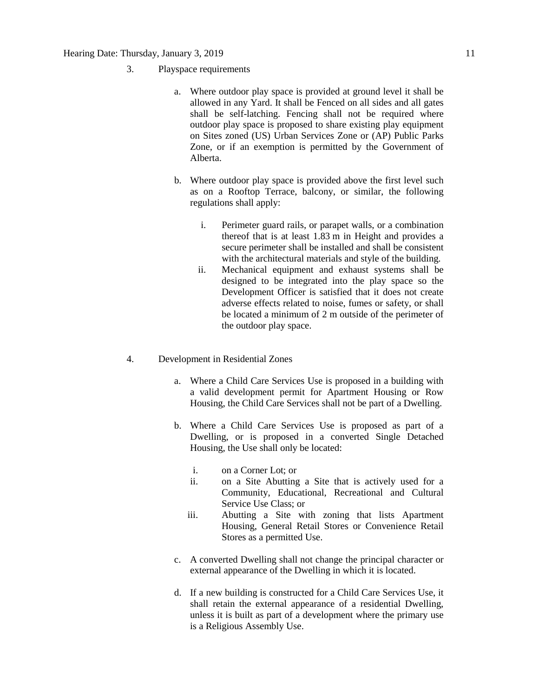- 3. Playspace requirements
	- a. Where outdoor play space is provided at ground level it shall be allowed in any Yard. It shall be Fenced on all sides and all gates shall be self-latching. Fencing shall not be required where outdoor play space is proposed to share existing play equipment on Sites zoned (US) Urban Services Zone or (AP) Public Parks Zone, or if an exemption is permitted by the Government of Alberta.
	- b. Where outdoor play space is provided above the first level such as on a Rooftop Terrace, balcony, or similar, the following regulations shall apply:
		- i. Perimeter guard rails, or parapet walls, or a combination thereof that is at least 1.83 m in Height and provides a secure perimeter shall be installed and shall be consistent with the architectural materials and style of the building.
		- ii. Mechanical equipment and exhaust systems shall be designed to be integrated into the play space so the Development Officer is satisfied that it does not create adverse effects related to noise, fumes or safety, or shall be located a minimum of 2 m outside of the perimeter of the outdoor play space.
- 4. Development in Residential Zones
	- a. Where a Child Care Services Use is proposed in a building with a valid development permit for Apartment Housing or Row Housing, the Child Care Services shall not be part of a Dwelling.
	- b. Where a Child Care Services Use is proposed as part of a Dwelling, or is proposed in a converted Single Detached Housing, the Use shall only be located:
		- i. on a Corner Lot; or
		- ii. on a Site Abutting a Site that is actively used for a Community, Educational, Recreational and Cultural Service Use Class; or
		- iii. Abutting a Site with zoning that lists Apartment Housing, General Retail Stores or Convenience Retail Stores as a permitted Use.
	- c. A converted Dwelling shall not change the principal character or external appearance of the Dwelling in which it is located.
	- d. If a new building is constructed for a Child Care Services Use, it shall retain the external appearance of a residential Dwelling, unless it is built as part of a development where the primary use is a Religious Assembly Use.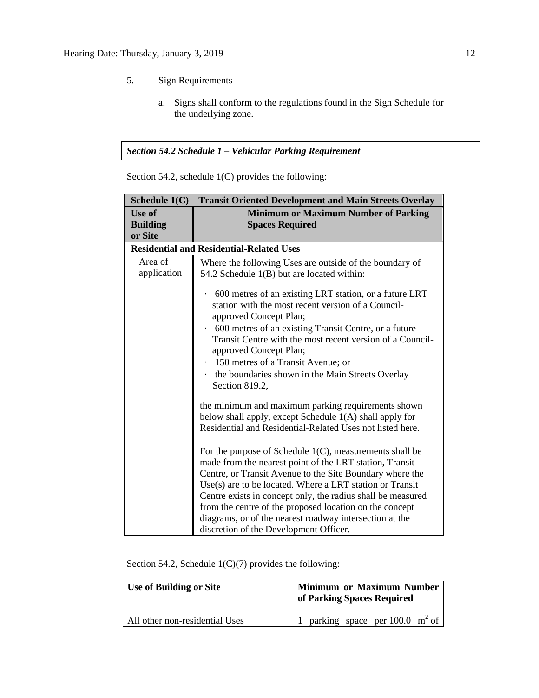- 5. Sign Requirements
	- a. Signs shall conform to the regulations found in the Sign Schedule for the underlying zone.

### *Section 54.2 Schedule 1 – Vehicular Parking Requirement*

| <b>Transit Oriented Development and Main Streets Overlay</b><br>Schedule 1(C)                                                                                                                                                                                                                                                                                                                                                                                                                                                                                                                                                                                |  |  |  |  |
|--------------------------------------------------------------------------------------------------------------------------------------------------------------------------------------------------------------------------------------------------------------------------------------------------------------------------------------------------------------------------------------------------------------------------------------------------------------------------------------------------------------------------------------------------------------------------------------------------------------------------------------------------------------|--|--|--|--|
| <b>Minimum or Maximum Number of Parking</b>                                                                                                                                                                                                                                                                                                                                                                                                                                                                                                                                                                                                                  |  |  |  |  |
| <b>Spaces Required</b>                                                                                                                                                                                                                                                                                                                                                                                                                                                                                                                                                                                                                                       |  |  |  |  |
|                                                                                                                                                                                                                                                                                                                                                                                                                                                                                                                                                                                                                                                              |  |  |  |  |
| <b>Residential and Residential-Related Uses</b>                                                                                                                                                                                                                                                                                                                                                                                                                                                                                                                                                                                                              |  |  |  |  |
| Where the following Uses are outside of the boundary of                                                                                                                                                                                                                                                                                                                                                                                                                                                                                                                                                                                                      |  |  |  |  |
| 54.2 Schedule 1(B) but are located within:                                                                                                                                                                                                                                                                                                                                                                                                                                                                                                                                                                                                                   |  |  |  |  |
| 600 metres of an existing LRT station, or a future LRT<br>$\bullet$<br>station with the most recent version of a Council-<br>approved Concept Plan;<br>600 metres of an existing Transit Centre, or a future<br>$\bullet$<br>Transit Centre with the most recent version of a Council-<br>approved Concept Plan;<br>150 metres of a Transit Avenue; or<br>the boundaries shown in the Main Streets Overlay<br>Section 819.2,                                                                                                                                                                                                                                 |  |  |  |  |
| the minimum and maximum parking requirements shown<br>below shall apply, except Schedule 1(A) shall apply for<br>Residential and Residential-Related Uses not listed here.<br>For the purpose of Schedule $1(C)$ , measurements shall be<br>made from the nearest point of the LRT station, Transit<br>Centre, or Transit Avenue to the Site Boundary where the<br>$Use(s)$ are to be located. Where a LRT station or Transit<br>Centre exists in concept only, the radius shall be measured<br>from the centre of the proposed location on the concept<br>diagrams, or of the nearest roadway intersection at the<br>discretion of the Development Officer. |  |  |  |  |
|                                                                                                                                                                                                                                                                                                                                                                                                                                                                                                                                                                                                                                                              |  |  |  |  |

Section 54.2, schedule 1(C) provides the following:

Section 54.2, Schedule 1(C)(7) provides the following:

| <b>Use of Building or Site</b> | <b>Minimum or Maximum Number<br/> of Parking Spaces Required</b> |  |
|--------------------------------|------------------------------------------------------------------|--|
| All other non-residential Uses | parking space per 100.0 $m^2$ of                                 |  |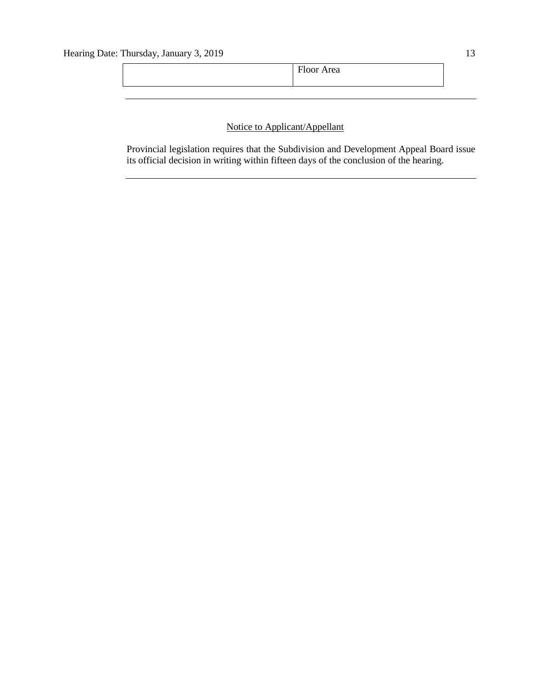## Notice to Applicant/Appellant

Provincial legislation requires that the Subdivision and Development Appeal Board issue its official decision in writing within fifteen days of the conclusion of the hearing.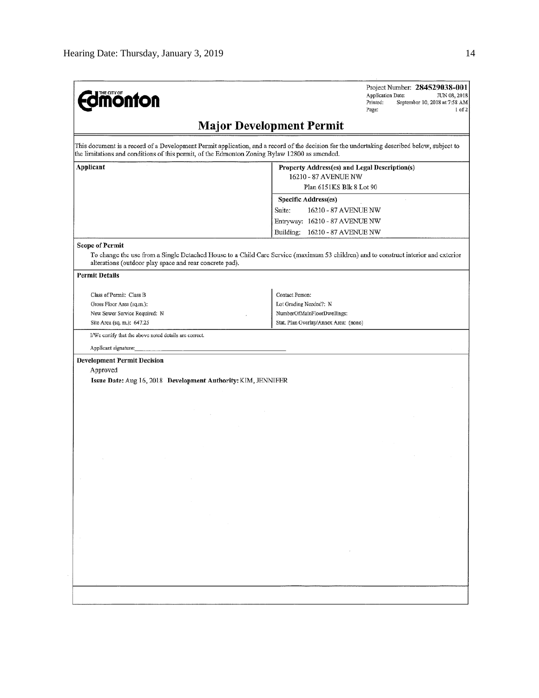| <b>Edmonton</b>                                                                               | Project Number: 284529038-001<br>Application Date:<br>JUN 08, 2018<br>September 10, 2018 at 7:58 AM<br>Printed:<br>Page:<br>$1$ of $2$      |  |  |
|-----------------------------------------------------------------------------------------------|---------------------------------------------------------------------------------------------------------------------------------------------|--|--|
|                                                                                               | <b>Major Development Permit</b>                                                                                                             |  |  |
| the limitations and conditions of this permit, of the Edmonton Zoning Bylaw 12800 as amended. | This document is a record of a Development Permit application, and a record of the decision for the undertaking described below, subject to |  |  |
| Applicant                                                                                     | Property Address(es) and Legal Description(s)                                                                                               |  |  |
|                                                                                               | 16210 - 87 AVENUE NW                                                                                                                        |  |  |
|                                                                                               | Plan 6151KS Blk 8 Lot 90                                                                                                                    |  |  |
|                                                                                               | Specific Address(es)                                                                                                                        |  |  |
|                                                                                               | Suite:<br>16210 - 87 AVENUE NW                                                                                                              |  |  |
|                                                                                               | Entryway: 16210 - 87 AVENUE NW                                                                                                              |  |  |
|                                                                                               | Building:<br>16210 - 87 AVENUE NW                                                                                                           |  |  |
| <b>Scope of Permit</b><br>alterations (outdoor play space and rear concrete pad).             | To change the use from a Single Detached House to a Child Care Service (maximum 53 children) and to construct interior and exterior         |  |  |
| <b>Permit Details</b>                                                                         |                                                                                                                                             |  |  |
| Class of Permit: Class B                                                                      | Contact Person:                                                                                                                             |  |  |
| Gross Floor Area (sq.m.):                                                                     | Lot Grading Needed?: N                                                                                                                      |  |  |
| New Sewer Service Required: N                                                                 | NumberOfMainFloorDwellings:                                                                                                                 |  |  |
| Site Area (sq. m.): 647.25                                                                    | Stat. Plan Overlay/Annex Area: (none)                                                                                                       |  |  |
| I/We certify that the above noted details are correct.                                        |                                                                                                                                             |  |  |
| Applicant signature:                                                                          |                                                                                                                                             |  |  |
| Approved                                                                                      |                                                                                                                                             |  |  |
| Issue Date: Aug 16, 2018 Development Authority: KIM, JENNIFER                                 |                                                                                                                                             |  |  |
|                                                                                               |                                                                                                                                             |  |  |
|                                                                                               |                                                                                                                                             |  |  |
|                                                                                               |                                                                                                                                             |  |  |
|                                                                                               |                                                                                                                                             |  |  |
|                                                                                               |                                                                                                                                             |  |  |
|                                                                                               |                                                                                                                                             |  |  |
|                                                                                               |                                                                                                                                             |  |  |
|                                                                                               |                                                                                                                                             |  |  |
|                                                                                               | $\sim$                                                                                                                                      |  |  |
|                                                                                               |                                                                                                                                             |  |  |
|                                                                                               | $\epsilon$                                                                                                                                  |  |  |
|                                                                                               |                                                                                                                                             |  |  |
|                                                                                               |                                                                                                                                             |  |  |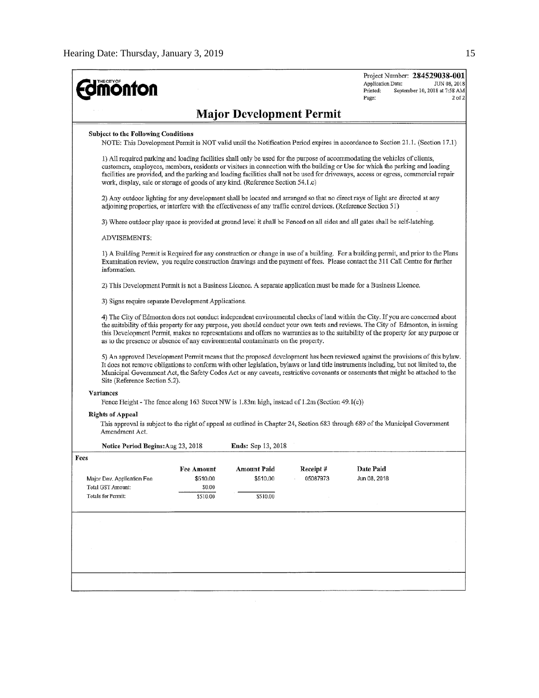| <b>dimonton</b>                                                                                                                                                                                                                                                                                                                                                                                                                                                                                                                                                                                                                |                                                                                                                                                                                                                                                                                                                                                                                                                                                                                         |                           |                  | Project Number: 284529038-001<br>Application Date:<br>JUN 08, 2018<br>Printed:<br>September 10, 2018 at 7:58 AM<br>Page:<br>$2$ of $2$                                                                                                                                   |  |  |
|--------------------------------------------------------------------------------------------------------------------------------------------------------------------------------------------------------------------------------------------------------------------------------------------------------------------------------------------------------------------------------------------------------------------------------------------------------------------------------------------------------------------------------------------------------------------------------------------------------------------------------|-----------------------------------------------------------------------------------------------------------------------------------------------------------------------------------------------------------------------------------------------------------------------------------------------------------------------------------------------------------------------------------------------------------------------------------------------------------------------------------------|---------------------------|------------------|--------------------------------------------------------------------------------------------------------------------------------------------------------------------------------------------------------------------------------------------------------------------------|--|--|
| <b>Major Development Permit</b>                                                                                                                                                                                                                                                                                                                                                                                                                                                                                                                                                                                                |                                                                                                                                                                                                                                                                                                                                                                                                                                                                                         |                           |                  |                                                                                                                                                                                                                                                                          |  |  |
| <b>Subject to the Following Conditions</b><br>NOTE: This Development Permit is NOT valid until the Notification Period expires in accordance to Section 21.1. (Section 17.1)                                                                                                                                                                                                                                                                                                                                                                                                                                                   |                                                                                                                                                                                                                                                                                                                                                                                                                                                                                         |                           |                  |                                                                                                                                                                                                                                                                          |  |  |
|                                                                                                                                                                                                                                                                                                                                                                                                                                                                                                                                                                                                                                | 1) All required parking and loading facilities shall only be used for the purpose of accommodating the vehicles of clients,<br>customers, employees, members, residents or visitors in connection with the building or Use for which the parking and loading<br>facilities are provided, and the parking and loading facilities shall not be used for driveways, access or egress, commercial repair<br>work, display, sale or storage of goods of any kind. (Reference Section 54.1.c) |                           |                  |                                                                                                                                                                                                                                                                          |  |  |
|                                                                                                                                                                                                                                                                                                                                                                                                                                                                                                                                                                                                                                | 2) Any outdoor lighting for any development shall be located and arranged so that no direct rays of light are directed at any<br>adjoining properties, or interfere with the effectiveness of any traffic control devices. (Reference Section 51)                                                                                                                                                                                                                                       |                           |                  |                                                                                                                                                                                                                                                                          |  |  |
|                                                                                                                                                                                                                                                                                                                                                                                                                                                                                                                                                                                                                                |                                                                                                                                                                                                                                                                                                                                                                                                                                                                                         |                           |                  | 3) Where outdoor play space is provided at ground level it shall be Fenced on all sides and all gates shall be self-latching.                                                                                                                                            |  |  |
| ADVISEMENTS:                                                                                                                                                                                                                                                                                                                                                                                                                                                                                                                                                                                                                   |                                                                                                                                                                                                                                                                                                                                                                                                                                                                                         |                           |                  |                                                                                                                                                                                                                                                                          |  |  |
| information.                                                                                                                                                                                                                                                                                                                                                                                                                                                                                                                                                                                                                   | 1) A Building Permit is Required for any construction or change in use of a building. For a building permit, and prior to the Plans<br>Examination review, you require construction drawings and the payment of fees. Please contact the 311 Call Centre for further                                                                                                                                                                                                                    |                           |                  |                                                                                                                                                                                                                                                                          |  |  |
|                                                                                                                                                                                                                                                                                                                                                                                                                                                                                                                                                                                                                                |                                                                                                                                                                                                                                                                                                                                                                                                                                                                                         |                           |                  | 2) This Development Permit is not a Business Licence. A separate application must be made for a Business Licence.                                                                                                                                                        |  |  |
| 3) Signs require separate Development Applications.                                                                                                                                                                                                                                                                                                                                                                                                                                                                                                                                                                            |                                                                                                                                                                                                                                                                                                                                                                                                                                                                                         |                           |                  |                                                                                                                                                                                                                                                                          |  |  |
| 4) The City of Edmonton does not conduct independent environmental checks of land within the City. If you are concerned about<br>the suitability of this property for any purpose, you should conduct your own tests and reviews. The City of Edmonton, in issuing<br>this Development Permit, makes no representations and offers no warranties as to the suitability of the property for any purpose or<br>as to the presence or absence of any environmental contaminants on the property.<br>5) An approved Development Permit means that the proposed development has been reviewed against the provisions of this bylaw. |                                                                                                                                                                                                                                                                                                                                                                                                                                                                                         |                           |                  |                                                                                                                                                                                                                                                                          |  |  |
| Site (Reference Section 5.2).                                                                                                                                                                                                                                                                                                                                                                                                                                                                                                                                                                                                  |                                                                                                                                                                                                                                                                                                                                                                                                                                                                                         |                           |                  | It does not remove obligations to conform with other legislation, bylaws or land title instruments including, but not limited to, the<br>Municipal Government Act, the Safety Codes Act or any caveats, restrictive covenants or easements that might be attached to the |  |  |
| <b>Variances</b>                                                                                                                                                                                                                                                                                                                                                                                                                                                                                                                                                                                                               |                                                                                                                                                                                                                                                                                                                                                                                                                                                                                         |                           |                  |                                                                                                                                                                                                                                                                          |  |  |
| Fence Height - The fence along 163 Street NW is 1.83m high, instead of 1.2m (Section 49.1(e))<br><b>Rights of Appeal</b><br>This approval is subject to the right of appeal as outlined in Chapter 24, Section 683 through 689 of the Municipal Government<br>Amendment Act.                                                                                                                                                                                                                                                                                                                                                   |                                                                                                                                                                                                                                                                                                                                                                                                                                                                                         |                           |                  |                                                                                                                                                                                                                                                                          |  |  |
| Notice Period Begins: Aug 23, 2018                                                                                                                                                                                                                                                                                                                                                                                                                                                                                                                                                                                             |                                                                                                                                                                                                                                                                                                                                                                                                                                                                                         | <b>Ends:</b> Sep 13, 2018 |                  |                                                                                                                                                                                                                                                                          |  |  |
| Fees                                                                                                                                                                                                                                                                                                                                                                                                                                                                                                                                                                                                                           | <b>Fee Amount</b>                                                                                                                                                                                                                                                                                                                                                                                                                                                                       | <b>Amount Paid</b>        | <b>Receipt</b> # | <b>Date Paid</b>                                                                                                                                                                                                                                                         |  |  |
| Major Dev. Application Fee                                                                                                                                                                                                                                                                                                                                                                                                                                                                                                                                                                                                     | \$510.00                                                                                                                                                                                                                                                                                                                                                                                                                                                                                | \$510.00                  | 05087973         | Jun 08, 2018                                                                                                                                                                                                                                                             |  |  |
| Total GST Amount:<br>Totals for Permit:                                                                                                                                                                                                                                                                                                                                                                                                                                                                                                                                                                                        | \$0.00<br>\$510.00                                                                                                                                                                                                                                                                                                                                                                                                                                                                      | \$510.00                  |                  |                                                                                                                                                                                                                                                                          |  |  |
|                                                                                                                                                                                                                                                                                                                                                                                                                                                                                                                                                                                                                                |                                                                                                                                                                                                                                                                                                                                                                                                                                                                                         |                           |                  |                                                                                                                                                                                                                                                                          |  |  |
|                                                                                                                                                                                                                                                                                                                                                                                                                                                                                                                                                                                                                                |                                                                                                                                                                                                                                                                                                                                                                                                                                                                                         |                           |                  |                                                                                                                                                                                                                                                                          |  |  |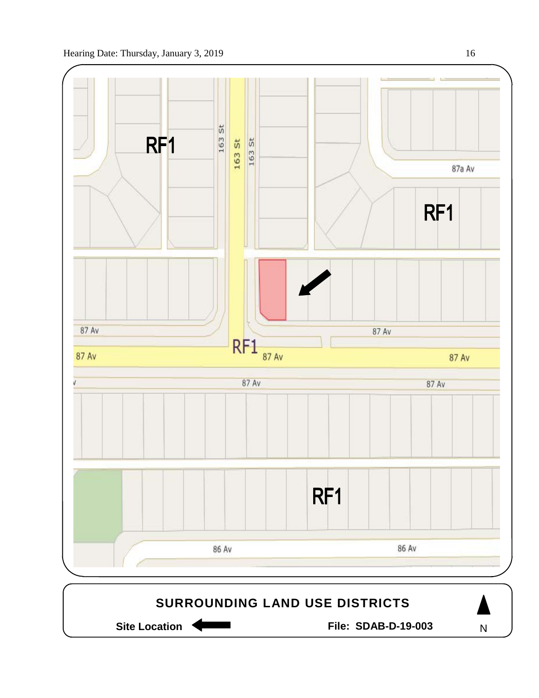

N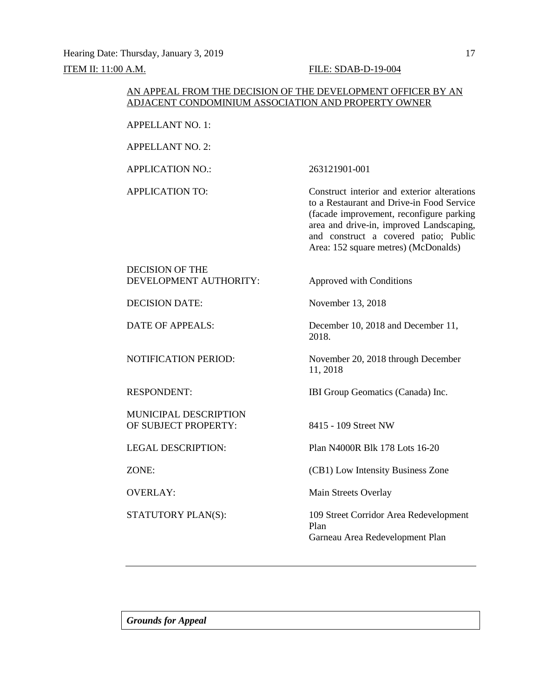### AN APPEAL FROM THE DECISION OF THE DEVELOPMENT OFFICER BY AN ADJACENT CONDOMINIUM ASSOCIATION AND PROPERTY OWNER

APPELLANT NO. 1:

APPELLANT NO. 2:

APPLICATION NO.: 263121901-001

APPLICATION TO: Construct interior and exterior alterations to a Restaurant and Drive-in Food Service (facade improvement, reconfigure parking area and drive-in, improved Landscaping, and construct a covered patio; Public Area: 152 square metres) (McDonalds)

DECISION OF THE DEVELOPMENT AUTHORITY: Approved with Conditions

DECISION DATE: November 13, 2018

MUNICIPAL DESCRIPTION OF SUBJECT PROPERTY: 8415 - 109 Street NW

DATE OF APPEALS: December 10, 2018 and December 11, 2018.

NOTIFICATION PERIOD: November 20, 2018 through December 11, 2018

RESPONDENT: IBI Group Geomatics (Canada) Inc.

LEGAL DESCRIPTION: Plan N4000R Blk 178 Lots 16-20

ZONE: (CB1) Low Intensity Business Zone

OVERLAY: Main Streets Overlay

STATUTORY PLAN(S): 109 Street Corridor Area Redevelopment Plan Garneau Area Redevelopment Plan

*Grounds for Appeal*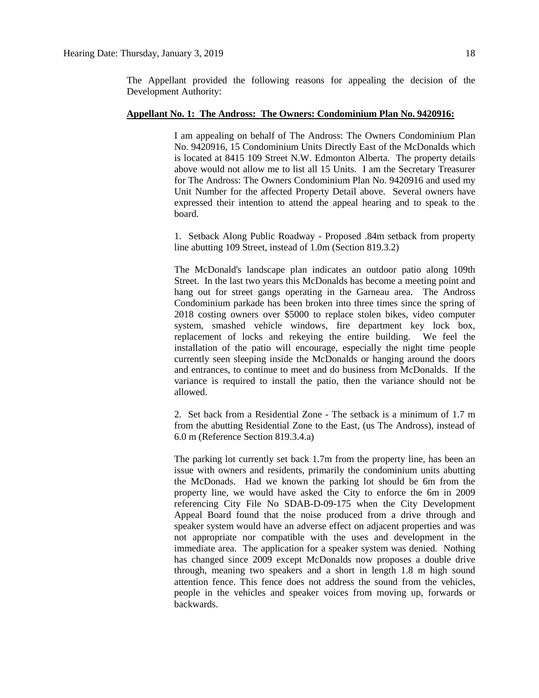The Appellant provided the following reasons for appealing the decision of the Development Authority:

### **Appellant No. 1: The Andross: The Owners: Condominium Plan No. 9420916:**

I am appealing on behalf of The Andross: The Owners Condominium Plan No. 9420916, 15 Condominium Units Directly East of the McDonalds which is located at 8415 109 Street N.W. Edmonton Alberta. The property details above would not allow me to list all 15 Units. I am the Secretary Treasurer for The Andross: The Owners Condominium Plan No. 9420916 and used my Unit Number for the affected Property Detail above. Several owners have expressed their intention to attend the appeal hearing and to speak to the board.

1. Setback Along Public Roadway - Proposed .84m setback from property line abutting 109 Street, instead of 1.0m (Section 819.3.2)

The McDonald's landscape plan indicates an outdoor patio along 109th Street. In the last two years this McDonalds has become a meeting point and hang out for street gangs operating in the Garneau area. The Andross Condominium parkade has been broken into three times since the spring of 2018 costing owners over \$5000 to replace stolen bikes, video computer system, smashed vehicle windows, fire department key lock box, replacement of locks and rekeying the entire building. We feel the installation of the patio will encourage, especially the night time people currently seen sleeping inside the McDonalds or hanging around the doors and entrances, to continue to meet and do business from McDonalds. If the variance is required to install the patio, then the variance should not be allowed.

2. Set back from a Residential Zone - The setback is a minimum of 1.7 m from the abutting Residential Zone to the East, (us The Andross), instead of 6.0 m (Reference Section 819.3.4.a)

The parking lot currently set back 1.7m from the property line, has been an issue with owners and residents, primarily the condominium units abutting the McDonads. Had we known the parking lot should be 6m from the property line, we would have asked the City to enforce the 6m in 2009 referencing City File No SDAB-D-09-175 when the City Development Appeal Board found that the noise produced from a drive through and speaker system would have an adverse effect on adjacent properties and was not appropriate nor compatible with the uses and development in the immediate area. The application for a speaker system was denied. Nothing has changed since 2009 except McDonalds now proposes a double drive through, meaning two speakers and a short in length 1.8 m high sound attention fence. This fence does not address the sound from the vehicles, people in the vehicles and speaker voices from moving up, forwards or backwards.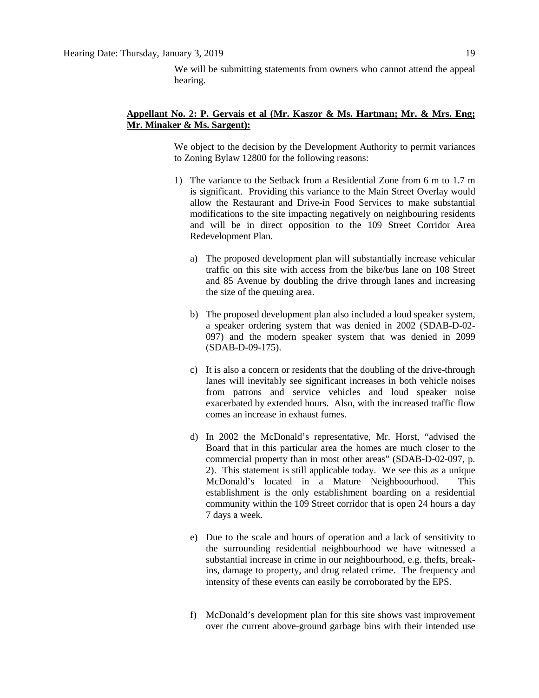We will be submitting statements from owners who cannot attend the appeal hearing.

### **Appellant No. 2: P. Gervais et al (Mr. Kaszor & Ms. Hartman; Mr. & Mrs. Eng; Mr. Minaker & Ms. Sargent):**

We object to the decision by the Development Authority to permit variances to Zoning Bylaw 12800 for the following reasons:

- 1) The variance to the Setback from a Residential Zone from 6 m to 1.7 m is significant. Providing this variance to the Main Street Overlay would allow the Restaurant and Drive-in Food Services to make substantial modifications to the site impacting negatively on neighbouring residents and will be in direct opposition to the 109 Street Corridor Area Redevelopment Plan.
	- a) The proposed development plan will substantially increase vehicular traffic on this site with access from the bike/bus lane on 108 Street and 85 Avenue by doubling the drive through lanes and increasing the size of the queuing area.
	- b) The proposed development plan also included a loud speaker system, a speaker ordering system that was denied in 2002 (SDAB-D-02- 097) and the modern speaker system that was denied in 2099 (SDAB-D-09-175).
	- c) It is also a concern or residents that the doubling of the drive-through lanes will inevitably see significant increases in both vehicle noises from patrons and service vehicles and loud speaker noise exacerbated by extended hours. Also, with the increased traffic flow comes an increase in exhaust fumes.
	- d) In 2002 the McDonald's representative, Mr. Horst, "advised the Board that in this particular area the homes are much closer to the commercial property than in most other areas" (SDAB-D-02-097, p. 2). This statement is still applicable today. We see this as a unique McDonald's located in a Mature Neighboourhood. This establishment is the only establishment boarding on a residential community within the 109 Street corridor that is open 24 hours a day 7 days a week.
	- e) Due to the scale and hours of operation and a lack of sensitivity to the surrounding residential neighbourhood we have witnessed a substantial increase in crime in our neighbourhood, e.g. thefts, breakins, damage to property, and drug related crime. The frequency and intensity of these events can easily be corroborated by the EPS.
	- f) McDonald's development plan for this site shows vast improvement over the current above-ground garbage bins with their intended use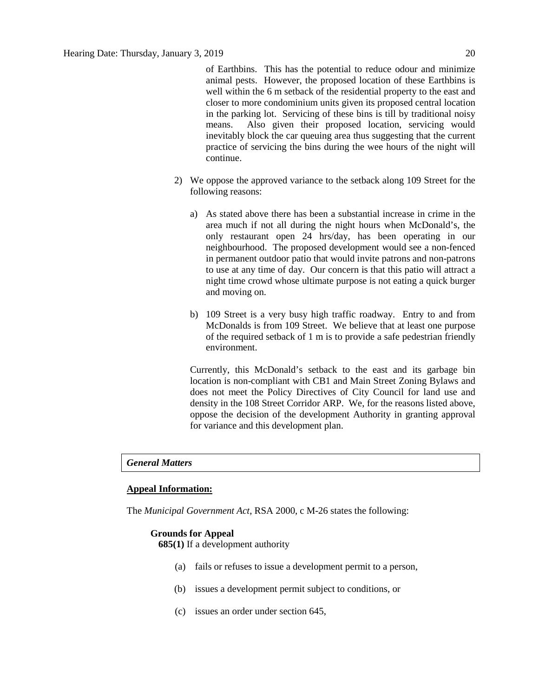of Earthbins. This has the potential to reduce odour and minimize animal pests. However, the proposed location of these Earthbins is well within the 6 m setback of the residential property to the east and closer to more condominium units given its proposed central location in the parking lot. Servicing of these bins is till by traditional noisy means. Also given their proposed location, servicing would inevitably block the car queuing area thus suggesting that the current practice of servicing the bins during the wee hours of the night will continue.

- 2) We oppose the approved variance to the setback along 109 Street for the following reasons:
	- a) As stated above there has been a substantial increase in crime in the area much if not all during the night hours when McDonald's, the only restaurant open 24 hrs/day, has been operating in our neighbourhood. The proposed development would see a non-fenced in permanent outdoor patio that would invite patrons and non-patrons to use at any time of day. Our concern is that this patio will attract a night time crowd whose ultimate purpose is not eating a quick burger and moving on.
	- b) 109 Street is a very busy high traffic roadway. Entry to and from McDonalds is from 109 Street. We believe that at least one purpose of the required setback of 1 m is to provide a safe pedestrian friendly environment.

Currently, this McDonald's setback to the east and its garbage bin location is non-compliant with CB1 and Main Street Zoning Bylaws and does not meet the Policy Directives of City Council for land use and density in the 108 Street Corridor ARP. We, for the reasons listed above, oppose the decision of the development Authority in granting approval for variance and this development plan.

### *General Matters*

### **Appeal Information:**

The *Municipal Government Act*, RSA 2000, c M-26 states the following:

### **Grounds for Appeal**

**685(1)** If a development authority

- (a) fails or refuses to issue a development permit to a person,
- (b) issues a development permit subject to conditions, or
- (c) issues an order under section 645,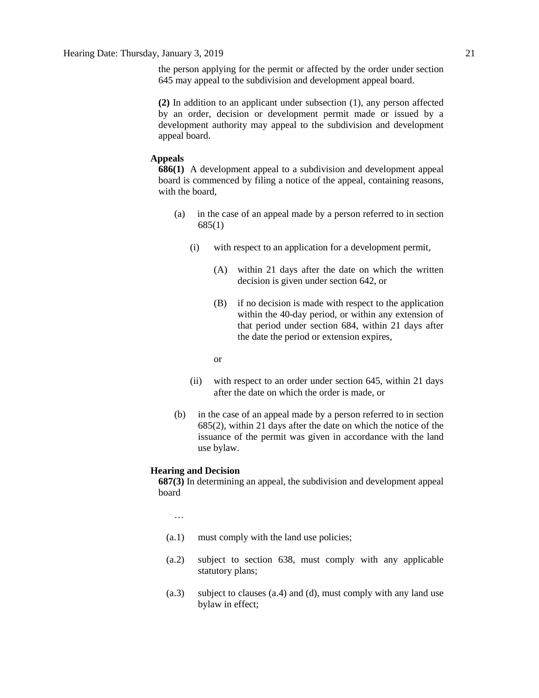the person applying for the permit or affected by the order under section 645 may appeal to the subdivision and development appeal board.

**(2)** In addition to an applicant under subsection (1), any person affected by an order, decision or development permit made or issued by a development authority may appeal to the subdivision and development appeal board.

### **Appeals**

**686(1)** A development appeal to a subdivision and development appeal board is commenced by filing a notice of the appeal, containing reasons, with the board,

- (a) in the case of an appeal made by a person referred to in section 685(1)
	- (i) with respect to an application for a development permit,
		- (A) within 21 days after the date on which the written decision is given under section 642, or
		- (B) if no decision is made with respect to the application within the 40-day period, or within any extension of that period under section 684, within 21 days after the date the period or extension expires,
		- or
	- (ii) with respect to an order under section 645, within 21 days after the date on which the order is made, or
- (b) in the case of an appeal made by a person referred to in section 685(2), within 21 days after the date on which the notice of the issuance of the permit was given in accordance with the land use bylaw.

### **Hearing and Decision**

**687(3)** In determining an appeal, the subdivision and development appeal board

…

- (a.1) must comply with the land use policies;
- (a.2) subject to section 638, must comply with any applicable statutory plans;
- (a.3) subject to clauses (a.4) and (d), must comply with any land use bylaw in effect;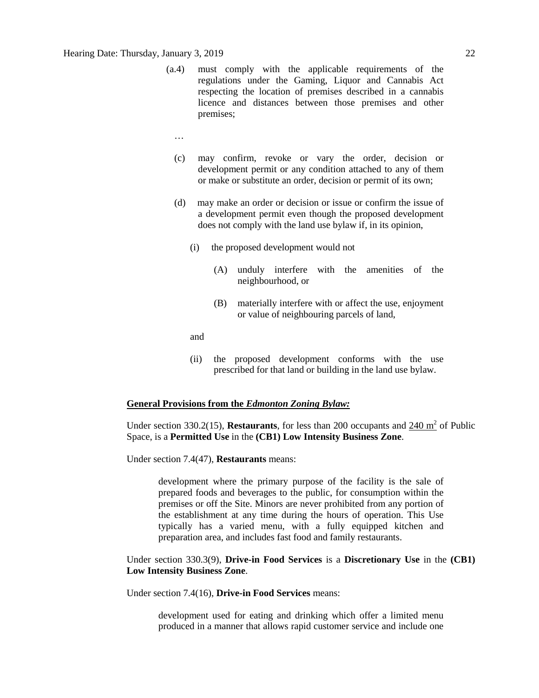### Hearing Date: Thursday, January 3, 2019 22

- (a.4) must comply with the applicable requirements of the regulations under the Gaming, Liquor and Cannabis Act respecting the location of premises described in a cannabis licence and distances between those premises and other premises;
	- …
	- (c) may confirm, revoke or vary the order, decision or development permit or any condition attached to any of them or make or substitute an order, decision or permit of its own;
	- (d) may make an order or decision or issue or confirm the issue of a development permit even though the proposed development does not comply with the land use bylaw if, in its opinion,
		- (i) the proposed development would not
			- (A) unduly interfere with the amenities of the neighbourhood, or
			- (B) materially interfere with or affect the use, enjoyment or value of neighbouring parcels of land,

and

(ii) the proposed development conforms with the use prescribed for that land or building in the land use bylaw.

### **General Provisions from the** *Edmonton Zoning Bylaw:*

Under section 330.2(15), **Restaurants**, for less than 200 occupants and 240 m<sup>2</sup> of Public Space, is a **Permitted Use** in the **(CB1) Low Intensity Business Zone**.

Under section 7.4(47), **Restaurants** means:

development where the primary purpose of the facility is the sale of prepared foods and beverages to the public, for consumption within the premises or off the Site. Minors are never prohibited from any portion of the establishment at any time during the hours of operation. This Use typically has a varied menu, with a fully equipped kitchen and preparation area, and includes fast food and family restaurants.

Under section 330.3(9), **Drive-in Food Services** is a **Discretionary Use** in the **(CB1) Low Intensity Business Zone**.

Under section 7.4(16), **Drive-in Food Services** means:

development used for eating and drinking which offer a limited menu produced in a manner that allows rapid customer service and include one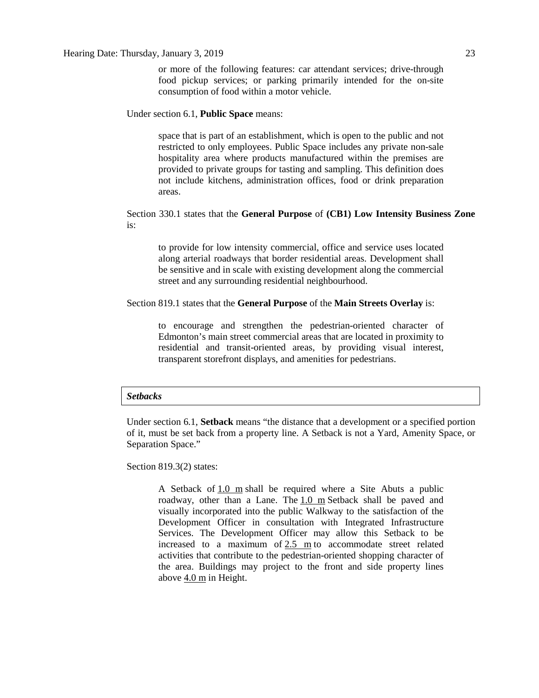### Under section 6.1, **Public Space** means:

space that is part of an establishment, which is open to the public and not restricted to only employees. Public Space includes any private non-sale hospitality area where products manufactured within the premises are provided to private groups for tasting and sampling. This definition does not include kitchens, administration offices, food or drink preparation areas.

### Section 330.1 states that the **General Purpose** of **(CB1) Low Intensity Business Zone**  is:

to provide for low intensity commercial, office and service uses located along arterial roadways that border residential areas. Development shall be sensitive and in scale with existing development along the commercial street and any surrounding residential neighbourhood.

### Section 819.1 states that the **General Purpose** of the **Main Streets Overlay** is:

to encourage and strengthen the pedestrian-oriented character of Edmonton's main street commercial areas that are located in proximity to residential and transit-oriented areas, by providing visual interest, transparent storefront displays, and amenities for pedestrians.

### *Setbacks*

Under section 6.1, **Setback** means "the distance that a development or a specified portion of it, must be set back from a property line. A Setback is not a Yard, Amenity Space, or Separation Space."

Section 819.3(2) states:

A Setback of  $1.0 \text{ m}$  shall be required where a Site Abuts a public roadway, other than a Lane. The [1.0 m](javascript:void(0);) Setback shall be paved and visually incorporated into the public Walkway to the satisfaction of the Development Officer in consultation with Integrated Infrastructure Services. The Development Officer may allow this Setback to be increased to a maximum of [2.5 m](javascript:void(0);) to accommodate street related activities that contribute to the pedestrian-oriented shopping character of the area. Buildings may project to the front and side property lines above [4.0 m](javascript:void(0);) in Height.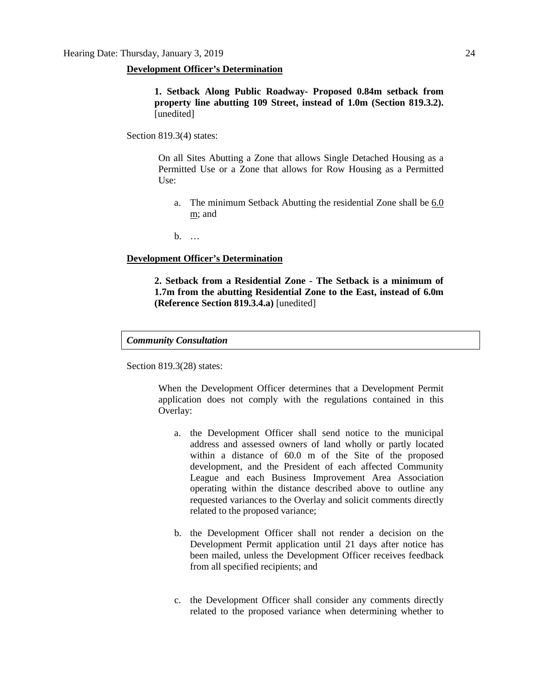### **Development Officer's Determination**

**1. Setback Along Public Roadway- Proposed 0.84m setback from property line abutting 109 Street, instead of 1.0m (Section 819.3.2).**  [unedited]

Section 819.3(4) states:

On all Sites Abutting a Zone that allows Single Detached Housing as a Permitted Use or a Zone that allows for Row Housing as a Permitted Use:

a. The minimum Setback Abutting the residential Zone shall be 6.0 [m;](javascript:void(0);) and

b. …

### **Development Officer's Determination**

**2. Setback from a Residential Zone - The Setback is a minimum of 1.7m from the abutting Residential Zone to the East, instead of 6.0m (Reference Section 819.3.4.a)** [unedited]

### *Community Consultation*

Section 819.3(28) states:

When the Development Officer determines that a Development Permit application does not comply with the regulations contained in this Overlay:

- a. the Development Officer shall send notice to the municipal address and assessed owners of land wholly or partly located within a distance of 60.0 m of the Site of the proposed development, and the President of each affected Community League and each Business Improvement Area Association operating within the distance described above to outline any requested variances to the Overlay and solicit comments directly related to the proposed variance;
- b. the Development Officer shall not render a decision on the Development Permit application until 21 days after notice has been mailed, unless the Development Officer receives feedback from all specified recipients; and
- c. the Development Officer shall consider any comments directly related to the proposed variance when determining whether to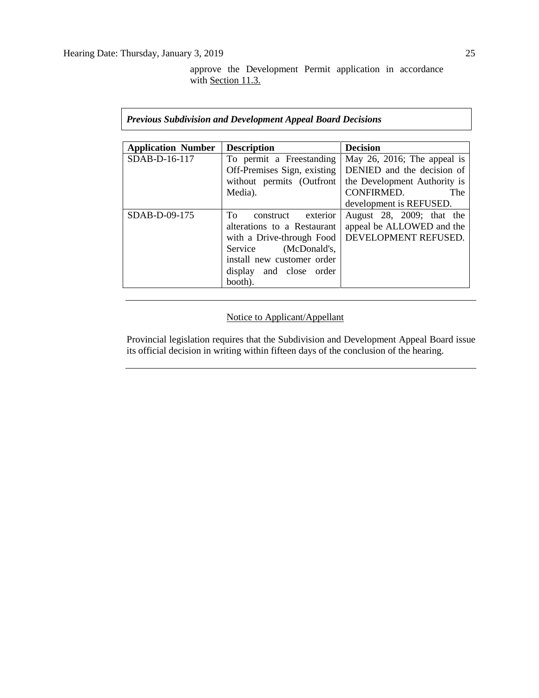approve the Development Permit application in accordance with [Section 11.3.](https://webdocs.edmonton.ca/InfraPlan/zoningbylaw/ZoningBylaw/Part1/Administrative/11__Authority_and_Responsibility_of_the_Development_Officer.htm)

### *Previous Subdivision and Development Appeal Board Decisions*

| <b>Application Number</b> | <b>Description</b>          | <b>Decision</b>              |
|---------------------------|-----------------------------|------------------------------|
| SDAB-D-16-117             | To permit a Freestanding    | May 26, 2016; The appeal is  |
|                           | Off-Premises Sign, existing | DENIED and the decision of   |
|                           | without permits (Outfront   | the Development Authority is |
|                           | Media).                     | CONFIRMED.<br>The            |
|                           |                             | development is REFUSED.      |
| $SDAB-D-09-175$           | To<br>exterior<br>construct | August 28, 2009; that the    |
|                           | alterations to a Restaurant | appeal be ALLOWED and the    |
|                           | with a Drive-through Food   | DEVELOPMENT REFUSED.         |
|                           | Service (McDonald's,        |                              |
|                           | install new customer order  |                              |
|                           | display and close order     |                              |
|                           | booth).                     |                              |

## Notice to Applicant/Appellant

Provincial legislation requires that the Subdivision and Development Appeal Board issue its official decision in writing within fifteen days of the conclusion of the hearing.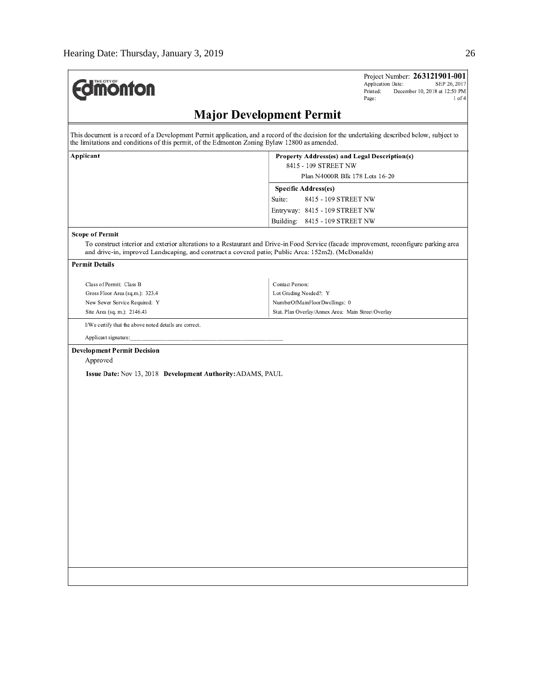| <b>Imonton</b>                                                                                | Project Number: 263121901-001<br>Application Date:<br>SEP 26, 2017<br>Printed:<br>December 10, 2018 at 12:50 PM<br>Page:<br>$1$ of $4$                                                                                                        |
|-----------------------------------------------------------------------------------------------|-----------------------------------------------------------------------------------------------------------------------------------------------------------------------------------------------------------------------------------------------|
|                                                                                               | <b>Major Development Permit</b>                                                                                                                                                                                                               |
| the limitations and conditions of this permit, of the Edmonton Zoning Bylaw 12800 as amended. | This document is a record of a Development Permit application, and a record of the decision for the undertaking described below, subject to                                                                                                   |
| Applicant                                                                                     | Property Address(es) and Legal Description(s)                                                                                                                                                                                                 |
|                                                                                               | 8415 - 109 STREET NW                                                                                                                                                                                                                          |
|                                                                                               | Plan N4000R Blk 178 Lots 16-20                                                                                                                                                                                                                |
|                                                                                               | Specific Address(es)                                                                                                                                                                                                                          |
|                                                                                               | Suite:<br>8415 - 109 STREET NW                                                                                                                                                                                                                |
|                                                                                               | Entryway: 8415 - 109 STREET NW                                                                                                                                                                                                                |
|                                                                                               | Building:<br>8415 - 109 STREET NW                                                                                                                                                                                                             |
| <b>Scope of Permit</b>                                                                        |                                                                                                                                                                                                                                               |
|                                                                                               | To construct interior and exterior alterations to a Restaurant and Drive-in Food Service (facade improvement, reconfigure parking area<br>and drive-in, improved Landscaping, and construct a covered patio; Public Area: 152m2). (McDonalds) |
| <b>Permit Details</b>                                                                         |                                                                                                                                                                                                                                               |
| Class of Permit: Class B                                                                      | Contact Person:                                                                                                                                                                                                                               |
| Gross Floor Area (sq.m.): 323.4                                                               | Lot Grading Needed?: Y                                                                                                                                                                                                                        |
| New Sewer Service Required: Y                                                                 | NumberOfMainFloorDwellings: 0                                                                                                                                                                                                                 |
| Site Area (sq. m.): 2146.43                                                                   | Stat. Plan Overlay/Annex Area: Main Street Overlay                                                                                                                                                                                            |
| I/We certify that the above noted details are correct.                                        |                                                                                                                                                                                                                                               |
|                                                                                               |                                                                                                                                                                                                                                               |
| Applicant signature:                                                                          |                                                                                                                                                                                                                                               |
| <b>Development Permit Decision</b>                                                            |                                                                                                                                                                                                                                               |
| Approved                                                                                      |                                                                                                                                                                                                                                               |
| Issue Date: Nov 13, 2018 Development Authority: ADAMS, PAUL                                   |                                                                                                                                                                                                                                               |
|                                                                                               |                                                                                                                                                                                                                                               |
|                                                                                               |                                                                                                                                                                                                                                               |
|                                                                                               |                                                                                                                                                                                                                                               |
|                                                                                               |                                                                                                                                                                                                                                               |
|                                                                                               |                                                                                                                                                                                                                                               |
|                                                                                               |                                                                                                                                                                                                                                               |
|                                                                                               |                                                                                                                                                                                                                                               |
|                                                                                               |                                                                                                                                                                                                                                               |
|                                                                                               |                                                                                                                                                                                                                                               |
|                                                                                               |                                                                                                                                                                                                                                               |
|                                                                                               |                                                                                                                                                                                                                                               |
|                                                                                               |                                                                                                                                                                                                                                               |
|                                                                                               |                                                                                                                                                                                                                                               |
|                                                                                               |                                                                                                                                                                                                                                               |
|                                                                                               |                                                                                                                                                                                                                                               |
|                                                                                               |                                                                                                                                                                                                                                               |
|                                                                                               |                                                                                                                                                                                                                                               |
|                                                                                               |                                                                                                                                                                                                                                               |
|                                                                                               |                                                                                                                                                                                                                                               |
|                                                                                               |                                                                                                                                                                                                                                               |
|                                                                                               |                                                                                                                                                                                                                                               |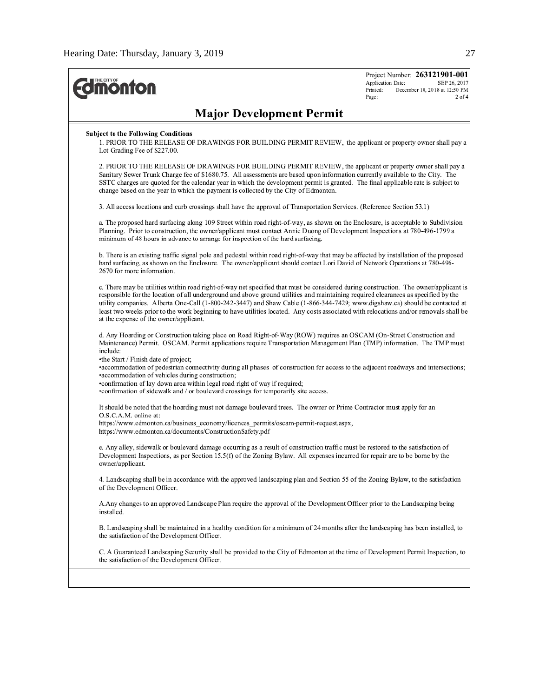| <b><i><u><u>monton</u></u></i></b>                                                                                                                                                                                                                                                                                                                                                                                                                                                                                                                                                           | Project Number: 263121901-001<br>Application Date:<br>SEP 26, 2017<br>Printed:<br>December 10, 2018 at 12:50 PM<br>Page:<br>$2$ of $4$ |
|----------------------------------------------------------------------------------------------------------------------------------------------------------------------------------------------------------------------------------------------------------------------------------------------------------------------------------------------------------------------------------------------------------------------------------------------------------------------------------------------------------------------------------------------------------------------------------------------|----------------------------------------------------------------------------------------------------------------------------------------|
| <b>Major Development Permit</b>                                                                                                                                                                                                                                                                                                                                                                                                                                                                                                                                                              |                                                                                                                                        |
| <b>Subject to the Following Conditions</b><br>1. PRIOR TO THE RELEASE OF DRAWINGS FOR BUILDING PERMIT REVIEW, the applicant or property owner shall pay a<br>Lot Grading Fee of \$227.00.                                                                                                                                                                                                                                                                                                                                                                                                    |                                                                                                                                        |
| 2. PRIOR TO THE RELEASE OF DRAWINGS FOR BUILDING PERMIT REVIEW, the applicant or property owner shall pay a<br>Sanitary Sewer Trunk Charge fee of \$1680.75. All assessments are based upon information currently available to the City. The<br>SSTC charges are quoted for the calendar year in which the development permit is granted. The final applicable rate is subject to<br>change based on the year in which the payment is collected by the City of Edmonton.                                                                                                                     |                                                                                                                                        |
| 3. All access locations and curb crossings shall have the approval of Transportation Services. (Reference Section 53.1)                                                                                                                                                                                                                                                                                                                                                                                                                                                                      |                                                                                                                                        |
| a. The proposed hard surfacing along 109 Street within road right-of-way, as shown on the Enclosure, is acceptable to Subdivision<br>Planning. Prior to construction, the owner/applicant must contact Annie Duong of Development Inspections at 780-496-1799 a<br>minimum of 48 hours in advance to arrange for inspection of the hard surfacing.                                                                                                                                                                                                                                           |                                                                                                                                        |
| b. There is an existing traffic signal pole and pedestal within road right-of-way that may be affected by installation of the proposed<br>hard surfacing, as shown on the Enclosure. The owner/applicant should contact Lori David of Network Operations at 780-496-<br>2670 for more information.                                                                                                                                                                                                                                                                                           |                                                                                                                                        |
| c. There may be utilities within road right-of-way not specified that must be considered during construction. The owner/applicant is<br>responsible for the location of all underground and above ground utilities and maintaining required clearances as specified by the<br>utility companies. Alberta One-Call (1-800-242-3447) and Shaw Cable (1-866-344-7429; www.digshaw.ca) should be contacted at<br>least two weeks prior to the work beginning to have utilities located. Any costs associated with relocations and/or removals shall be<br>at the expense of the owner/applicant. |                                                                                                                                        |
| d. Any Hoarding or Construction taking place on Road Right-of-Way (ROW) requires an OSCAM (On-Street Construction and<br>Maintenance) Permit. OSCAM. Permit applications require Transportation Management Plan (TMP) information. The TMP must<br>include:                                                                                                                                                                                                                                                                                                                                  |                                                                                                                                        |
| •the Start / Finish date of project;<br>·accommodation of pedestrian connectivity during all phases of construction for access to the adjacent roadways and intersections;<br>•accommodation of vehicles during construction;<br>confirmation of lay down area within legal road right of way if required;<br>•confirmation of sidewalk and / or boulevard crossings for temporarily site access.                                                                                                                                                                                            |                                                                                                                                        |
| It should be noted that the hoarding must not damage boulevard trees. The owner or Prime Contractor must apply for an                                                                                                                                                                                                                                                                                                                                                                                                                                                                        |                                                                                                                                        |
| O.S.C.A.M. online at:<br>https://www.edmonton.ca/business economy/licences permits/oscam-permit-request.aspx,<br>https://www.edmonton.ca/documents/ConstructionSafety.pdf                                                                                                                                                                                                                                                                                                                                                                                                                    |                                                                                                                                        |
| e. Any alley, sidewalk or boulevard damage occurring as a result of construction traffic must be restored to the satisfaction of<br>Development Inspections, as per Section 15.5(f) of the Zoning Bylaw. All expenses incurred for repair are to be borne by the<br>owner/applicant.                                                                                                                                                                                                                                                                                                         |                                                                                                                                        |
| 4. Landscaping shall be in accordance with the approved landscaping plan and Section 55 of the Zoning Bylaw, to the satisfaction<br>of the Development Officer.                                                                                                                                                                                                                                                                                                                                                                                                                              |                                                                                                                                        |
| A. Any changes to an approved Landscape Plan require the approval of the Development Officer prior to the Landscaping being<br>installed.                                                                                                                                                                                                                                                                                                                                                                                                                                                    |                                                                                                                                        |
| B. Landscaping shall be maintained in a healthy condition for a minimum of 24 months after the landscaping has been installed, to<br>the satisfaction of the Development Officer.                                                                                                                                                                                                                                                                                                                                                                                                            |                                                                                                                                        |
| C. A Guaranteed Landscaping Security shall be provided to the City of Edmonton at the time of Development Permit Inspection, to<br>the satisfaction of the Development Officer.                                                                                                                                                                                                                                                                                                                                                                                                              |                                                                                                                                        |
|                                                                                                                                                                                                                                                                                                                                                                                                                                                                                                                                                                                              |                                                                                                                                        |
|                                                                                                                                                                                                                                                                                                                                                                                                                                                                                                                                                                                              |                                                                                                                                        |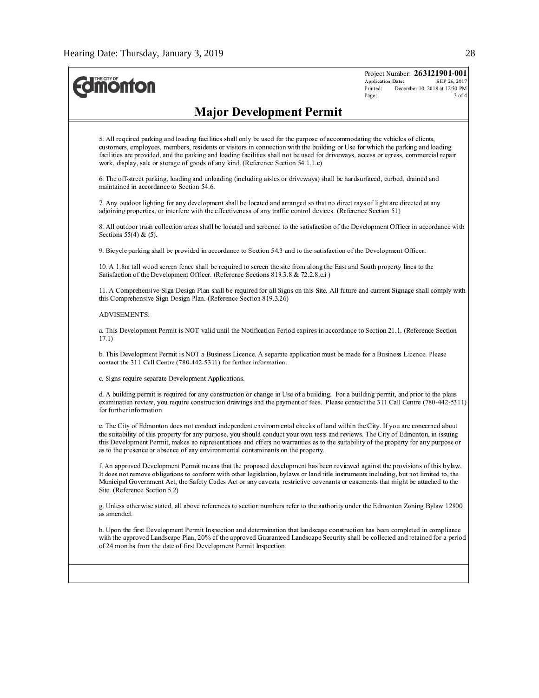| <b><i><u><u>monton</u></u></i></b>                                                                                                                                                                                                                                                                                                                                                                                                                                                            | Project Number: 263121901-001<br>Application Date:<br>SEP 26, 2017<br>December 10, 2018 at 12:50 PM<br>Printed:<br>Page:<br>$3$ of $4$ |
|-----------------------------------------------------------------------------------------------------------------------------------------------------------------------------------------------------------------------------------------------------------------------------------------------------------------------------------------------------------------------------------------------------------------------------------------------------------------------------------------------|----------------------------------------------------------------------------------------------------------------------------------------|
| <b>Major Development Permit</b>                                                                                                                                                                                                                                                                                                                                                                                                                                                               |                                                                                                                                        |
| 5. All required parking and loading facilities shall only be used for the purpose of accommodating the vehicles of clients,<br>customers, employees, members, residents or visitors in connection with the building or Use for which the parking and loading<br>facilities are provided, and the parking and loading facilities shall not be used for driveways, access or egress, commercial repair<br>work, display, sale or storage of goods of any kind. (Reference Section 54.1.1.c)     |                                                                                                                                        |
| 6. The off-street parking, loading and unloading (including aisles or driveways) shall be hardsurfaced, curbed, drained and<br>maintained in accordance to Section 54.6.                                                                                                                                                                                                                                                                                                                      |                                                                                                                                        |
| 7. Any outdoor lighting for any development shall be located and arranged so that no direct rays of light are directed at any<br>adjoining properties, or interfere with the effectiveness of any traffic control devices. (Reference Section 51)                                                                                                                                                                                                                                             |                                                                                                                                        |
| 8. All outdoor trash collection areas shall be located and screened to the satisfaction of the Development Officer in accordance with<br>Sections $55(4)$ & $(5)$ .                                                                                                                                                                                                                                                                                                                           |                                                                                                                                        |
| 9. Bicycle parking shall be provided in accordance to Section 54.3 and to the satisfaction of the Development Officer.                                                                                                                                                                                                                                                                                                                                                                        |                                                                                                                                        |
| 10. A 1.8m tall wood screen fence shall be required to screen the site from along the East and South property lines to the<br>Satisfaction of the Development Officer. (Reference Sections 819.3.8 & 72.2.8.c.i)                                                                                                                                                                                                                                                                              |                                                                                                                                        |
| 11. A Comprehensive Sign Design Plan shall be required for all Signs on this Site. All future and current Signage shall comply with<br>this Comprehensive Sign Design Plan. (Reference Section 819.3.26)                                                                                                                                                                                                                                                                                      |                                                                                                                                        |
| <b>ADVISEMENTS:</b>                                                                                                                                                                                                                                                                                                                                                                                                                                                                           |                                                                                                                                        |
| a. This Development Permit is NOT valid until the Notification Period expires in accordance to Section 21.1. (Reference Section<br>17.1)                                                                                                                                                                                                                                                                                                                                                      |                                                                                                                                        |
| b. This Development Permit is NOT a Business Licence. A separate application must be made for a Business Licence. Please<br>contact the 311 Call Centre (780-442-5311) for further information.                                                                                                                                                                                                                                                                                               |                                                                                                                                        |
| c. Signs require separate Development Applications.                                                                                                                                                                                                                                                                                                                                                                                                                                           |                                                                                                                                        |
| d. A building permit is required for any construction or change in Use of a building. For a building permit, and prior to the plans<br>examination review, you require construction drawings and the payment of fees. Please contact the 311 Call Centre (780-442-5311)<br>for further information.                                                                                                                                                                                           |                                                                                                                                        |
| e. The City of Edmonton does not conduct independent environmental checks of land within the City. If you are concerned about<br>the suitability of this property for any purpose, you should conduct your own tests and reviews. The City of Edmonton, in issuing<br>this Development Permit, makes no representations and offers no warranties as to the suitability of the property for any purpose or<br>as to the presence or absence of any environmental contaminants on the property. |                                                                                                                                        |
| f. An approved Development Permit means that the proposed development has been reviewed against the provisions of this bylaw.<br>It does not remove obligations to conform with other legislation, bylaws or land title instruments including, but not limited to, the<br>Municipal Government Act, the Safety Codes Act or any caveats, restrictive covenants or easements that might be attached to the<br>Site. (Reference Section 5.2)                                                    |                                                                                                                                        |
| g. Unless otherwise stated, all above references to section numbers refer to the authority under the Edmonton Zoning Bylaw 12800<br>as amended.                                                                                                                                                                                                                                                                                                                                               |                                                                                                                                        |
| h. Upon the first Development Permit Inspection and determination that landscape construction has been completed in compliance<br>with the approved Landscape Plan, 20% of the approved Guaranteed Landscape Security shall be collected and retained for a period<br>of 24 months from the date of first Development Permit Inspection.                                                                                                                                                      |                                                                                                                                        |
|                                                                                                                                                                                                                                                                                                                                                                                                                                                                                               |                                                                                                                                        |
|                                                                                                                                                                                                                                                                                                                                                                                                                                                                                               |                                                                                                                                        |
|                                                                                                                                                                                                                                                                                                                                                                                                                                                                                               |                                                                                                                                        |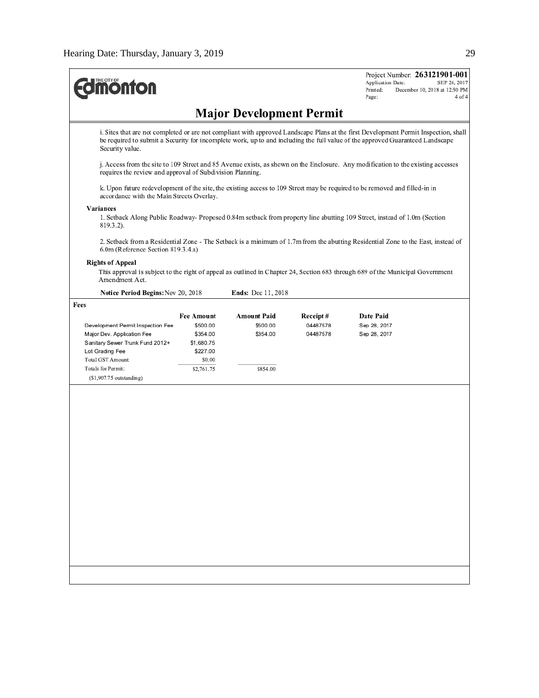| <b><i><u><u>monton</u></u></i></b>                        |                   |                                 |          | Project Number: 263121901-001<br>Application Date:<br>SEP 26, 2017<br>Printed:<br>December 10, 2018 at 12:50 PM<br>Page:<br>4 of 4                                                                                                                                    |
|-----------------------------------------------------------|-------------------|---------------------------------|----------|-----------------------------------------------------------------------------------------------------------------------------------------------------------------------------------------------------------------------------------------------------------------------|
|                                                           |                   | <b>Major Development Permit</b> |          |                                                                                                                                                                                                                                                                       |
| Security value.                                           |                   |                                 |          | i. Sites that are not completed or are not compliant with approved Landscape Plans at the first Development Permit Inspection, shall<br>be required to submit a Security for incomplete work, up to and including the full value of the approved Guaranteed Landscape |
| requires the review and approval of Subdivision Planning. |                   |                                 |          | j. Access from the site to 109 Street and 85 Avenue exists, as shown on the Enclosure. Any modification to the existing accesses                                                                                                                                      |
| accordance with the Main Streets Overlay.                 |                   |                                 |          | k. Upon future redevelopment of the site, the existing access to 109 Street may be required to be removed and filled-in in                                                                                                                                            |
| Variances                                                 |                   |                                 |          |                                                                                                                                                                                                                                                                       |
| 819.3.2).                                                 |                   |                                 |          | 1. Setback Along Public Roadway- Proposed 0.84m setback from property line abutting 109 Street, instead of 1.0m (Section                                                                                                                                              |
| 6.0m (Reference Section 819.3.4.a)                        |                   |                                 |          | 2. Setback from a Residential Zone - The Setback is a minimum of 1.7m from the abutting Residential Zone to the East, instead of                                                                                                                                      |
| <b>Rights of Appeal</b>                                   |                   |                                 |          |                                                                                                                                                                                                                                                                       |
| Amendment Act.                                            |                   |                                 |          | This approval is subject to the right of appeal as outlined in Chapter 24, Section 683 through 689 of the Municipal Government                                                                                                                                        |
| Notice Period Begins: Nov 20, 2018                        |                   | <b>Ends:</b> Dec 11, 2018       |          |                                                                                                                                                                                                                                                                       |
| Fees                                                      |                   |                                 |          |                                                                                                                                                                                                                                                                       |
|                                                           | <b>Fee Amount</b> | <b>Amount Paid</b>              | Receipt# | Date Paid                                                                                                                                                                                                                                                             |
| Development Permit Inspection Fee                         | \$500.00          | \$500.00                        | 04487578 | Sep 28, 2017                                                                                                                                                                                                                                                          |
| Major Dev. Application Fee                                | \$354.00          | \$354.00                        | 04487578 | Sep 28, 2017                                                                                                                                                                                                                                                          |
| Sanitary Sewer Trunk Fund 2012+                           | \$1,680.75        |                                 |          |                                                                                                                                                                                                                                                                       |
| Lot Grading Fee                                           | \$227.00          |                                 |          |                                                                                                                                                                                                                                                                       |
| Total GST Amount:                                         | \$0.00            |                                 |          |                                                                                                                                                                                                                                                                       |
| Totals for Permit:                                        | \$2,761.75        | \$854.00                        |          |                                                                                                                                                                                                                                                                       |
| $(S1,907.75$ outstanding)                                 |                   |                                 |          |                                                                                                                                                                                                                                                                       |
|                                                           |                   |                                 |          |                                                                                                                                                                                                                                                                       |
|                                                           |                   |                                 |          |                                                                                                                                                                                                                                                                       |
|                                                           |                   |                                 |          |                                                                                                                                                                                                                                                                       |
|                                                           |                   |                                 |          |                                                                                                                                                                                                                                                                       |
|                                                           |                   |                                 |          |                                                                                                                                                                                                                                                                       |
|                                                           |                   |                                 |          |                                                                                                                                                                                                                                                                       |
|                                                           |                   |                                 |          |                                                                                                                                                                                                                                                                       |
|                                                           |                   |                                 |          |                                                                                                                                                                                                                                                                       |
|                                                           |                   |                                 |          |                                                                                                                                                                                                                                                                       |
|                                                           |                   |                                 |          |                                                                                                                                                                                                                                                                       |
|                                                           |                   |                                 |          |                                                                                                                                                                                                                                                                       |
|                                                           |                   |                                 |          |                                                                                                                                                                                                                                                                       |
|                                                           |                   |                                 |          |                                                                                                                                                                                                                                                                       |
|                                                           |                   |                                 |          |                                                                                                                                                                                                                                                                       |
|                                                           |                   |                                 |          |                                                                                                                                                                                                                                                                       |
|                                                           |                   |                                 |          |                                                                                                                                                                                                                                                                       |
|                                                           |                   |                                 |          |                                                                                                                                                                                                                                                                       |
|                                                           |                   |                                 |          |                                                                                                                                                                                                                                                                       |
|                                                           |                   |                                 |          |                                                                                                                                                                                                                                                                       |
|                                                           |                   |                                 |          |                                                                                                                                                                                                                                                                       |